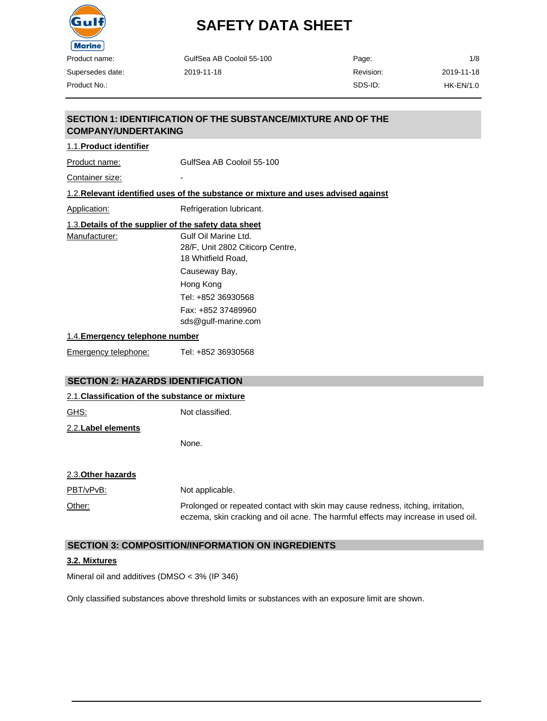

Supersedes date: Product No.:

# **SAFETY DATA SHEET**

| GulfSea AB Cooloil 55-100 | Page:     | 1/8         |
|---------------------------|-----------|-------------|
| 2019-11-18                | Revision: | 2019-11-18  |
|                           | SDS-ID:   | $HK-EN/1.0$ |

### **SECTION 1: IDENTIFICATION OF THE SUBSTANCE/MIXTURE AND OF THE COMPANY/UNDERTAKING**

### 1.1.**Product identifier**

Product name: GulfSea AB Cooloil 55-100

Container size:

### 1.2.**Relevant identified uses of the substance or mixture and uses advised against**

Application: Refrigeration lubricant.

| 1.3. Details of the supplier of the safety data sheet |                                           |
|-------------------------------------------------------|-------------------------------------------|
| Manufacturer:                                         | Gulf Oil Marine Ltd.                      |
|                                                       | 28/F, Unit 2802 Citicorp Centre,          |
|                                                       | 18 Whitfield Road,                        |
|                                                       | Causeway Bay,                             |
|                                                       | Hong Kong                                 |
|                                                       | Tel: +852 36930568                        |
|                                                       | Fax: +852 37489960<br>sds@gulf-marine.com |

#### 1.4.**Emergency telephone number**

| Emergency telephone: | Tel: +852 36930568 |
|----------------------|--------------------|
|                      |                    |

### **SECTION 2: HAZARDS IDENTIFICATION**

#### 2.1.**Classification of the substance or mixture**

| GHS:                | Not classified. |
|---------------------|-----------------|
| 2.2. Label elements |                 |
|                     | None.           |

#### 2.3.**Other hazards**

| PBT/vPvB: | Not applicable.                                                                                                                                                      |
|-----------|----------------------------------------------------------------------------------------------------------------------------------------------------------------------|
| Other:    | Prolonged or repeated contact with skin may cause redness, itching, irritation,<br>eczema, skin cracking and oil acne. The harmful effects may increase in used oil. |

#### **SECTION 3: COMPOSITION/INFORMATION ON INGREDIENTS**

#### **3.2. Mixtures**

Mineral oil and additives (DMSO < 3% (IP 346)

Only classified substances above threshold limits or substances with an exposure limit are shown.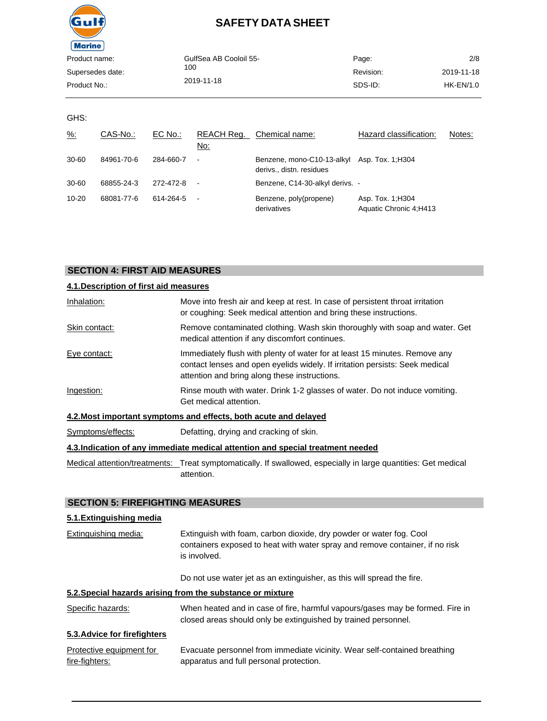

| Product name:    | GulfSea AB Cooloil 55- | Page:     | 2/8         |
|------------------|------------------------|-----------|-------------|
| Supersedes date: | 100                    | Revision: | 2019-11-18  |
| Product No.:     | 2019-11-18             | SDS-ID:   | $HK-EN/1.0$ |
|                  |                        |           |             |

GHS:

| $\frac{9}{6}$ : | CAS-No.:   | EC No.:   | REACH Req.<br>No:        | Chemical name:                                                          | Hazard classification:                      | Notes: |
|-----------------|------------|-----------|--------------------------|-------------------------------------------------------------------------|---------------------------------------------|--------|
| $30 - 60$       | 84961-70-6 | 284-660-7 | $\blacksquare$           | Benzene, mono-C10-13-alkyl Asp. Tox. 1:H304<br>derivs., distn. residues |                                             |        |
| $30 - 60$       | 68855-24-3 | 272-472-8 | $\overline{\phantom{a}}$ | Benzene, C14-30-alkyl derivs. -                                         |                                             |        |
| $10 - 20$       | 68081-77-6 | 614-264-5 | $\blacksquare$           | Benzene, poly(propene)<br>derivatives                                   | Asp. Tox. 1; H304<br>Aquatic Chronic 4:H413 |        |

### **SECTION 4: FIRST AID MEASURES**

| 4.1. Description of first aid measures |                                                                                                                                                                                                             |
|----------------------------------------|-------------------------------------------------------------------------------------------------------------------------------------------------------------------------------------------------------------|
| Inhalation:                            | Move into fresh air and keep at rest. In case of persistent throat irritation<br>or coughing: Seek medical attention and bring these instructions.                                                          |
| Skin contact:                          | Remove contaminated clothing. Wash skin thoroughly with soap and water. Get<br>medical attention if any discomfort continues.                                                                               |
| Eye contact:                           | Immediately flush with plenty of water for at least 15 minutes. Remove any<br>contact lenses and open eyelids widely. If irritation persists: Seek medical<br>attention and bring along these instructions. |
| Ingestion:                             | Rinse mouth with water. Drink 1-2 glasses of water. Do not induce vomiting.<br>Get medical attention.                                                                                                       |
|                                        | 4.2. Most important symptoms and effects, both acute and delayed                                                                                                                                            |
| Symptoms/effects:                      | Defatting, drying and cracking of skin.                                                                                                                                                                     |

#### **4.3.Indication of any immediate medical attention and special treatment needed**

Medical attention/treatments: Treat symptomatically. If swallowed, especially in large quantities: Get medical attention.

### **SECTION 5: FIREFIGHTING MEASURES**

### **5.1.Extinguishing media**

| Extinguishing media:                       | Extinguish with foam, carbon dioxide, dry powder or water fog. Cool<br>containers exposed to heat with water spray and remove container, if no risk<br>is involved. |
|--------------------------------------------|---------------------------------------------------------------------------------------------------------------------------------------------------------------------|
|                                            | Do not use water jet as an extinguisher, as this will spread the fire.                                                                                              |
|                                            | 5.2. Special hazards arising from the substance or mixture                                                                                                          |
| Specific hazards:                          | When heated and in case of fire, harmful vapours/gases may be formed. Fire in<br>closed areas should only be extinguished by trained personnel.                     |
| 5.3. Advice for firefighters               |                                                                                                                                                                     |
| Protective equipment for<br>fire-fighters: | Evacuate personnel from immediate vicinity. Wear self-contained breathing<br>apparatus and full personal protection.                                                |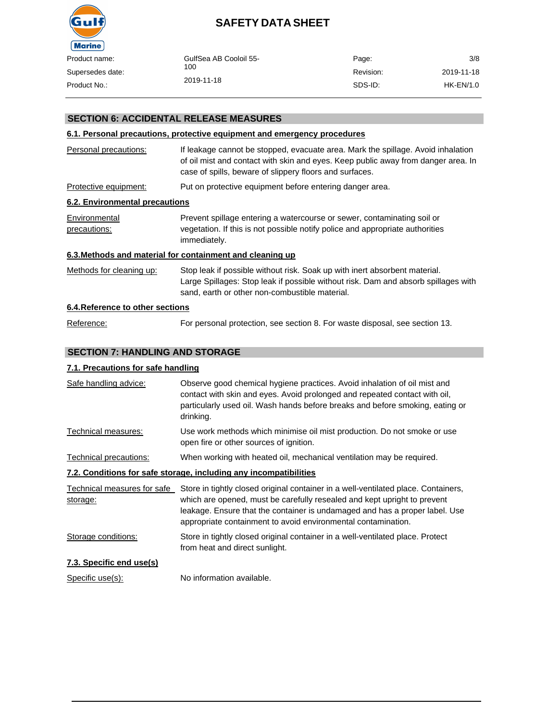

| ıct name:    | GulfSea AB Cooloil 55- | Page:     | 3/8        |
|--------------|------------------------|-----------|------------|
| rsedes date: | 100                    | Revision: | 2019-11-18 |
| ict No.:     | 2019-11-18             | SDS-ID:   | HK-EN/1.0  |
|              |                        |           |            |

### **SECTION 6: ACCIDENTAL RELEASE MEASURES**

#### **6.1. Personal precautions, protective equipment and emergency procedures**

| Personal precautions:            | If leakage cannot be stopped, evacuate area. Mark the spillage. Avoid inhalation<br>of oil mist and contact with skin and eyes. Keep public away from danger area. In<br>case of spills, beware of slippery floors and surfaces. |
|----------------------------------|----------------------------------------------------------------------------------------------------------------------------------------------------------------------------------------------------------------------------------|
| Protective equipment:            | Put on protective equipment before entering danger area.                                                                                                                                                                         |
| 6.2. Environmental precautions   |                                                                                                                                                                                                                                  |
| Environmental<br>precautions:    | Prevent spillage entering a watercourse or sewer, contaminating soil or<br>vegetation. If this is not possible notify police and appropriate authorities<br>immediately.                                                         |
|                                  | 6.3. Methods and material for containment and cleaning up                                                                                                                                                                        |
| Methods for cleaning up:         | Stop leak if possible without risk. Soak up with inert absorbent material.<br>Large Spillages: Stop leak if possible without risk. Dam and absorb spillages with<br>sand, earth or other non-combustible material.               |
| 6.4. Reference to other sections |                                                                                                                                                                                                                                  |
| Reference:                       | For personal protection, see section 8. For waste disposal, see section 13.                                                                                                                                                      |

#### **SECTION 7: HANDLING AND STORAGE**

#### **7.1. Precautions for safe handling**

| Safe handling advice:       | Observe good chemical hygiene practices. Avoid inhalation of oil mist and<br>contact with skin and eyes. Avoid prolonged and repeated contact with oil,<br>particularly used oil. Wash hands before breaks and before smoking, eating or<br>drinking. |
|-----------------------------|-------------------------------------------------------------------------------------------------------------------------------------------------------------------------------------------------------------------------------------------------------|
| Technical measures:         | Use work methods which minimise oil mist production. Do not smoke or use<br>open fire or other sources of ignition.                                                                                                                                   |
| Technical precautions:      | When working with heated oil, mechanical ventilation may be required.                                                                                                                                                                                 |
|                             | 7.2. Conditions for safe storage, including any incompatibilities                                                                                                                                                                                     |
| Technical measures for safe | Store in tightly closed original container in a well-ventilated place. Containers,                                                                                                                                                                    |
| storage:                    | which are opened, must be carefully resealed and kept upright to prevent<br>leakage. Ensure that the container is undamaged and has a proper label. Use<br>appropriate containment to avoid environmental contamination.                              |
| Storage conditions:         | Store in tightly closed original container in a well-ventilated place. Protect<br>from heat and direct sunlight.                                                                                                                                      |
| 7.3. Specific end use(s)    |                                                                                                                                                                                                                                                       |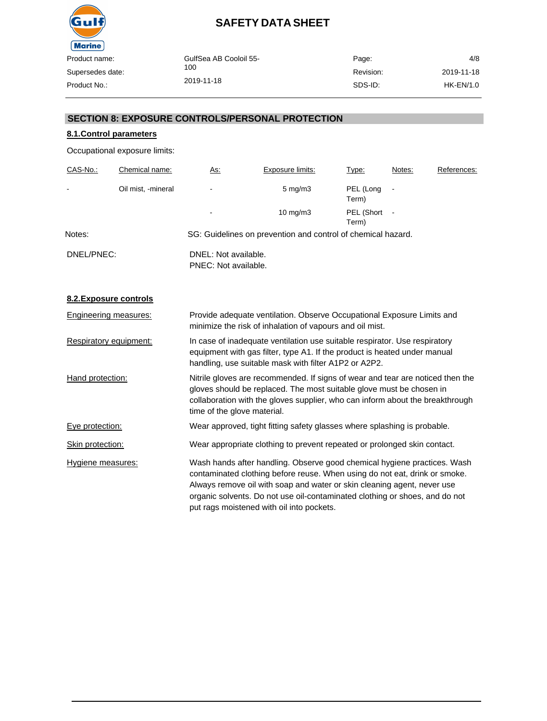

| GulfSea AB Cooloil 55-<br>100 | Page:     | 4/8        |
|-------------------------------|-----------|------------|
|                               | Revision: | 2019-11-18 |
| 2019-11-18                    | SDS-ID:   | HK-EN/1.0  |

### **SECTION 8: EXPOSURE CONTROLS/PERSONAL PROTECTION**

### **8.1.Control parameters**

Occupational exposure limits:

| CAS-No.:       | Chemical name:     | <u>As:</u>                                   | Exposure limits:                                             | Type:               | Notes: | References: |
|----------------|--------------------|----------------------------------------------|--------------------------------------------------------------|---------------------|--------|-------------|
| $\blacksquare$ | Oil mist, -mineral | ٠                                            | $5 \text{ mg/m}$ 3                                           | PEL (Long<br>Term)  |        |             |
|                |                    | $\overline{\phantom{a}}$                     | $10 \text{ mg/m}$                                            | PEL (Short<br>Term) |        |             |
| Notes:         |                    |                                              | SG: Guidelines on prevention and control of chemical hazard. |                     |        |             |
| DNEL/PNEC:     |                    | DNEL: Not available.<br>PNEC: Not available. |                                                              |                     |        |             |

### **8.2.Exposure controls**

| Engineering measures:  | Provide adequate ventilation. Observe Occupational Exposure Limits and<br>minimize the risk of inhalation of vapours and oil mist.                                                                                                                                                                                                                            |
|------------------------|---------------------------------------------------------------------------------------------------------------------------------------------------------------------------------------------------------------------------------------------------------------------------------------------------------------------------------------------------------------|
| Respiratory equipment: | In case of inadequate ventilation use suitable respirator. Use respiratory<br>equipment with gas filter, type A1. If the product is heated under manual<br>handling, use suitable mask with filter A1P2 or A2P2.                                                                                                                                              |
| Hand protection:       | Nitrile gloves are recommended. If signs of wear and tear are noticed then the<br>gloves should be replaced. The most suitable glove must be chosen in<br>collaboration with the gloves supplier, who can inform about the breakthrough<br>time of the glove material.                                                                                        |
| Eye protection:        | Wear approved, tight fitting safety glasses where splashing is probable.                                                                                                                                                                                                                                                                                      |
| Skin protection:       | Wear appropriate clothing to prevent repeated or prolonged skin contact.                                                                                                                                                                                                                                                                                      |
| Hygiene measures:      | Wash hands after handling. Observe good chemical hygiene practices. Wash<br>contaminated clothing before reuse. When using do not eat, drink or smoke.<br>Always remove oil with soap and water or skin cleaning agent, never use<br>organic solvents. Do not use oil-contaminated clothing or shoes, and do not<br>put rags moistened with oil into pockets. |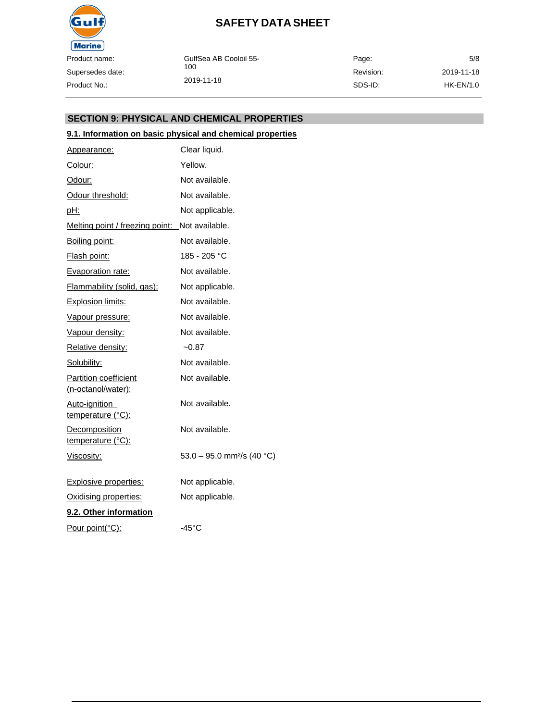

| GulfSea AB Cooloil 55-<br>100 | Page:     | 5/8        |
|-------------------------------|-----------|------------|
|                               | Revision: | 2019-11-18 |
| 2019-11-18                    | SDS-ID:   | HK-EN/1.0  |

#### **SECTION 9: PHYSICAL AND CHEMICAL PROPERTIES**

### **9.1. Information on basic physical and chemical properties**

| Appearance:                                 | Clear liquid.                          |
|---------------------------------------------|----------------------------------------|
| Colour:                                     | Yellow.                                |
| Odour:                                      | Not available.                         |
| Odour threshold:                            | Not available.                         |
| <u>pH:</u>                                  | Not applicable.                        |
| Melting point / freezing point:             | Not available.                         |
| Boiling point:                              | Not available.                         |
| <u>Flash point:</u>                         | 185 - 205 °C                           |
| Evaporation rate:                           | Not available.                         |
| Flammability (solid, gas):                  | Not applicable.                        |
| <b>Explosion limits:</b>                    | Not available.                         |
| Vapour pressure:                            | Not available.                         |
| Vapour density:                             | Not available.                         |
| Relative density:                           | $-0.87$                                |
| Solubility:                                 | Not available.                         |
| Partition coefficient<br>(n-octanol/water): | Not available.                         |
| <u>Auto-ignition</u><br>temperature (°C):   | Not available.                         |
| Decomposition<br><u>temperature (°C):</u>   | Not available.                         |
| Viscosity:                                  | 53.0 - 95.0 mm <sup>2</sup> /s (40 °C) |
| <b>Explosive properties:</b>                | Not applicable.                        |
| Oxidising properties:                       | Not applicable.                        |
| 9.2. Other information                      |                                        |
| Pour point(°C):                             | $-45^{\circ}$ C                        |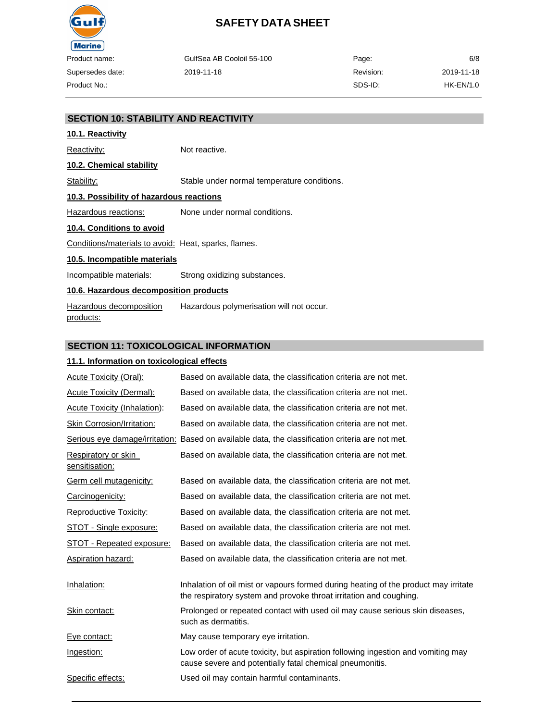

| ıme:     | GulfSea AB Cooloil 55-100 | Page:     | 6/8        |
|----------|---------------------------|-----------|------------|
| es date: | 2019-11-18                | Revision: | 2019-11-18 |
| : כ      |                           | SDS-ID:   | HK-EN/1.0  |

#### **SECTION 10: STABILITY AND REACTIVITY**

# **10.1. Reactivity**

Reactivity: Not reactive.

# **10.2. Chemical stability**

Stability: Stable under normal temperature conditions.

#### **10.3. Possibility of hazardous reactions**

Hazardous reactions: None under normal conditions.

#### **10.4. Conditions to avoid**

Conditions/materials to avoid: Heat, sparks, flames.

#### **10.5. Incompatible materials**

Incompatible materials: Strong oxidizing substances.

#### **10.6. Hazardous decomposition products**

Hazardous decomposition products: Hazardous polymerisation will not occur.

#### **SECTION 11: TOXICOLOGICAL INFORMATION**

#### **11.1. Information on toxicological effects**

| Acute Toxicity (Oral):                | Based on available data, the classification criteria are not met.                                                                                         |
|---------------------------------------|-----------------------------------------------------------------------------------------------------------------------------------------------------------|
| <b>Acute Toxicity (Dermal):</b>       | Based on available data, the classification criteria are not met.                                                                                         |
| <b>Acute Toxicity (Inhalation):</b>   | Based on available data, the classification criteria are not met.                                                                                         |
| Skin Corrosion/Irritation:            | Based on available data, the classification criteria are not met.                                                                                         |
|                                       | Serious eye damage/irritation: Based on available data, the classification criteria are not met.                                                          |
| Respiratory or skin<br>sensitisation: | Based on available data, the classification criteria are not met.                                                                                         |
| Germ cell mutagenicity:               | Based on available data, the classification criteria are not met.                                                                                         |
| Carcinogenicity:                      | Based on available data, the classification criteria are not met.                                                                                         |
| <b>Reproductive Toxicity:</b>         | Based on available data, the classification criteria are not met.                                                                                         |
| <b>STOT - Single exposure:</b>        | Based on available data, the classification criteria are not met.                                                                                         |
| STOT - Repeated exposure:             | Based on available data, the classification criteria are not met.                                                                                         |
| <b>Aspiration hazard:</b>             | Based on available data, the classification criteria are not met.                                                                                         |
| Inhalation:                           | Inhalation of oil mist or vapours formed during heating of the product may irritate<br>the respiratory system and provoke throat irritation and coughing. |
| Skin contact:                         | Prolonged or repeated contact with used oil may cause serious skin diseases,<br>such as dermatitis.                                                       |
| Eye contact:                          | May cause temporary eye irritation.                                                                                                                       |
| Ingestion:                            | Low order of acute toxicity, but aspiration following ingestion and vomiting may<br>cause severe and potentially fatal chemical pneumonitis.              |
| Specific effects:                     | Used oil may contain harmful contaminants.                                                                                                                |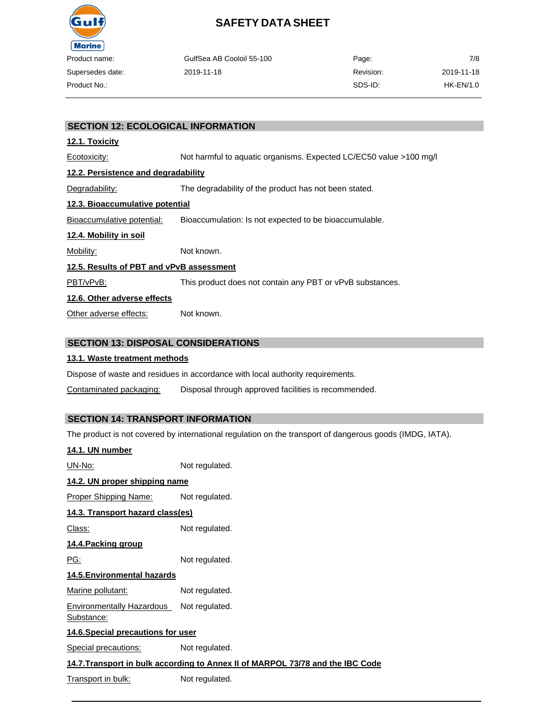

| roduct name:    | GulfSea AB Cooloil 55-100 | Page:     | 7/8        |
|-----------------|---------------------------|-----------|------------|
| upersedes date: | 2019-11-18                | Revision: | 2019-11-18 |
| roduct No.:     |                           | SDS-ID:   | HK-EN/1.0  |

### **SECTION 12: ECOLOGICAL INFORMATION**

#### **12.1. Toxicity**

Ecotoxicity: Not harmful to aquatic organisms. Expected LC/EC50 value >100 mg/l **12.2. Persistence and degradability** Degradability: The degradability of the product has not been stated. **12.3. Bioaccumulative potential** Bioaccumulative potential: Bioaccumulation: Is not expected to be bioaccumulable. **12.4. Mobility in soil** Mobility: Not known. **12.5. Results of PBT and vPvB assessment** PBT/vPvB: This product does not contain any PBT or vPvB substances. **12.6. Other adverse effects** Other adverse effects: Not known.

### **SECTION 13: DISPOSAL CONSIDERATIONS**

#### **13.1. Waste treatment methods**

Dispose of waste and residues in accordance with local authority requirements.

Contaminated packaging: Disposal through approved facilities is recommended.

### **SECTION 14: TRANSPORT INFORMATION**

The product is not covered by international regulation on the transport of dangerous goods (IMDG, IATA).

| 14.1. UN number                                |                                                                                |
|------------------------------------------------|--------------------------------------------------------------------------------|
| <u> UN-No:</u>                                 | Not regulated.                                                                 |
| 14.2. UN proper shipping name                  |                                                                                |
| Proper Shipping Name:                          | Not regulated.                                                                 |
| 14.3. Transport hazard class(es)               |                                                                                |
| <u> Class:</u>                                 | Not regulated.                                                                 |
| <u>14.4. Packing group</u>                     |                                                                                |
| <u>PG:</u>                                     | Not regulated.                                                                 |
| 14.5. Environmental hazards                    |                                                                                |
| Marine pollutant:                              | Not regulated.                                                                 |
| <b>Environmentally Hazardous</b><br>Substance: | Not regulated.                                                                 |
| 14.6. Special precautions for user             |                                                                                |
| Special precautions:                           | Not regulated.                                                                 |
|                                                | 14.7. Transport in bulk according to Annex II of MARPOL 73/78 and the IBC Code |
| Transport in bulk:                             | Not regulated.                                                                 |